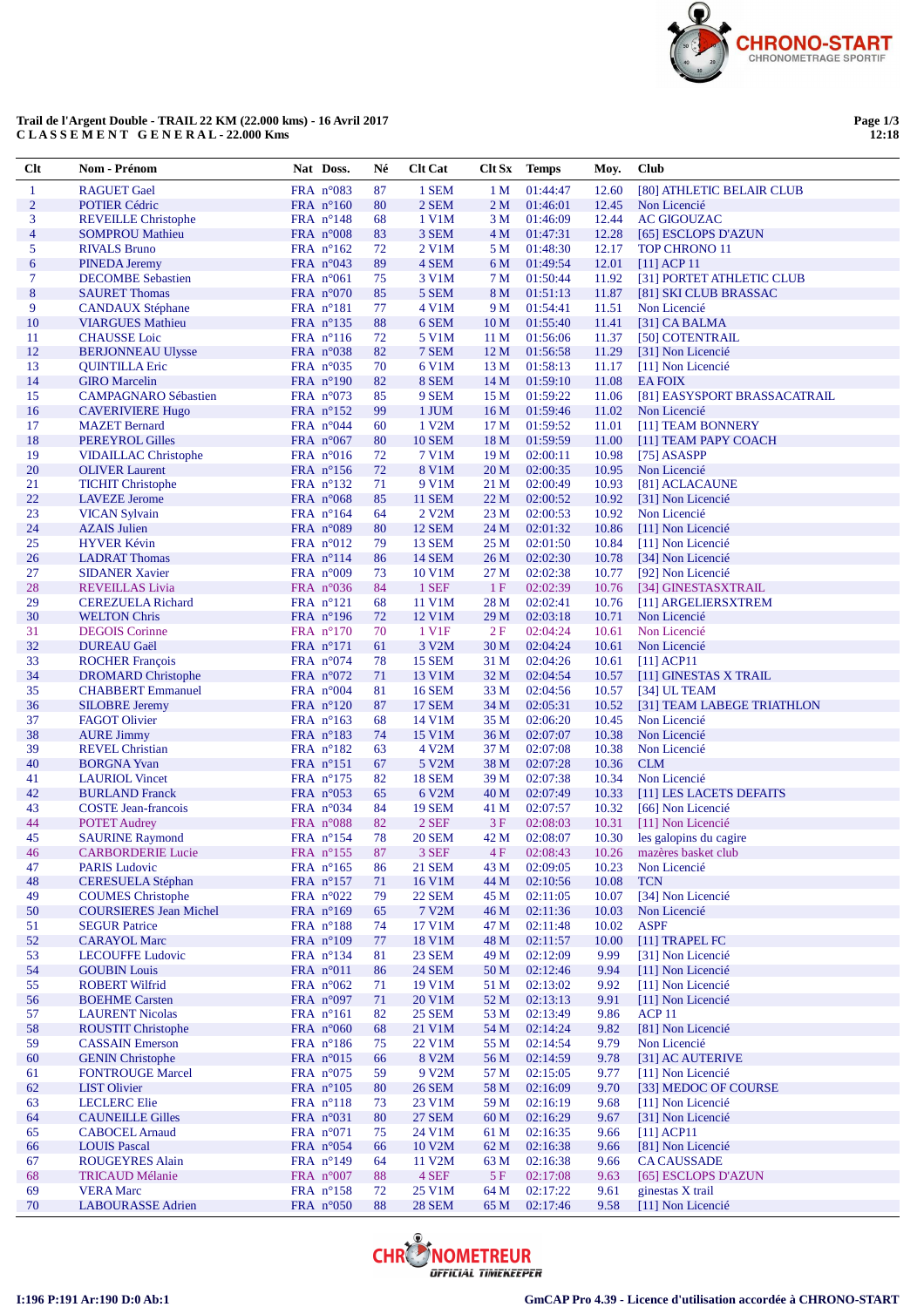

## **Trail de l'Argent Double - TRAIL 22 KM (22.000 kms) - 16 Avril 2017 C L A S S E M E N T G E N E R A L - 22.000 Kms**

**Page 1/3 12:18**

| $Cl$ t         | Nom - Prénom                  | Nat Doss.           | Né | <b>Clt Cat</b>       | <b>Clt Sx</b>   | <b>Temps</b> | Moy.  | Club                         |
|----------------|-------------------------------|---------------------|----|----------------------|-----------------|--------------|-------|------------------------------|
| $\mathbf{1}$   | <b>RAGUET Gael</b>            | FRA $n^{\circ}083$  | 87 | 1 SEM                | 1 <sub>M</sub>  | 01:44:47     | 12.60 | [80] ATHLETIC BELAIR CLUB    |
| $\overline{2}$ | <b>POTIER Cédric</b>          | FRA $n^{\circ}160$  | 80 | 2 SEM                | 2 <sub>M</sub>  | 01:46:01     | 12.45 | Non Licencié                 |
| 3              | <b>REVEILLE Christophe</b>    | FRA n°148           | 68 | 1 V1M                | 3 M             | 01:46:09     | 12.44 | <b>AC GIGOUZAC</b>           |
| 4              | <b>SOMPROU Mathieu</b>        | FRA $n^{\circ}008$  | 83 | 3 SEM                | 4 M             | 01:47:31     | 12.28 | [65] ESCLOPS D'AZUN          |
| 5              | <b>RIVALS Bruno</b>           | FRA $n^{\circ}162$  | 72 | 2 V1M                | 5 M             | 01:48:30     | 12.17 | <b>TOP CHRONO 11</b>         |
| 6              | <b>PINEDA Jeremy</b>          | FRA $n^{\circ}043$  | 89 | 4 SEM                | 6 M             | 01:49:54     | 12.01 | $[11]$ ACP 11                |
| 7              | <b>DECOMBE Sebastien</b>      | FRA $n^{\circ}061$  | 75 | 3 V1M                | 7 M             | 01:50:44     | 11.92 | [31] PORTET ATHLETIC CLUB    |
| $\bf 8$        | <b>SAURET Thomas</b>          | FRA $n^{\circ}070$  | 85 | 5 SEM                | 8 M             | 01:51:13     | 11.87 | [81] SKI CLUB BRASSAC        |
| 9              | <b>CANDAUX Stéphane</b>       | FRA $n^{\circ}181$  | 77 | 4 V1M                | 9 M             | 01:54:41     | 11.51 | Non Licencié                 |
| 10             | <b>VIARGUES Mathieu</b>       | FRA $n^{\circ}$ 135 | 88 | 6 SEM                | 10 <sub>M</sub> | 01:55:40     | 11.41 | [31] CA BALMA                |
| 11             | <b>CHAUSSE</b> Loic           | FRA $n^{\circ}116$  | 72 | 5 V1M                | 11 M            | 01:56:06     | 11.37 | [50] COTENTRAIL              |
| 12             | <b>BERJONNEAU Ulysse</b>      | FRA $n^{\circ}038$  | 82 | 7 SEM                | 12 M            | 01:56:58     | 11.29 | [31] Non Licencié            |
| 13             | <b>QUINTILLA Eric</b>         | FRA $n^{\circ}035$  | 70 | 6 V1M                | 13 M            | 01:58:13     | 11.17 | [11] Non Licencié            |
| 14             | <b>GIRO</b> Marcelin          | FRA $n^{\circ}190$  | 82 | 8 SEM                | 14 M            | 01:59:10     | 11.08 | <b>EAFOIX</b>                |
| 15             | <b>CAMPAGNARO Sébastien</b>   | FRA $n^{\circ}073$  | 85 | 9 SEM                | 15 M            | 01:59:22     | 11.06 | [81] EASYSPORT BRASSACATRAIL |
| 16             | <b>CAVERIVIERE Hugo</b>       | FRA $n^{\circ}152$  | 99 | 1 JUM                | 16 <sub>M</sub> | 01:59:46     | 11.02 | Non Licencié                 |
| 17             | <b>MAZET</b> Bernard          | FRA $n^{\circ}044$  | 60 | 1 V2M                | 17 M            | 01:59:52     | 11.01 | [11] TEAM BONNERY            |
| 18             | PEREYROL Gilles               | FRA $n^{\circ}067$  | 80 | <b>10 SEM</b>        | 18 M            | 01:59:59     | 11.00 | [11] TEAM PAPY COACH         |
| 19             | <b>VIDAILLAC</b> Christophe   | FRA $n^{\circ}016$  | 72 | 7 V1M                | 19 M            | 02:00:11     | 10.98 | $[75]$ ASASPP                |
| 20             | <b>OLIVER Laurent</b>         | FRA $n^{\circ}156$  | 72 | 8 V1M                | 20 <sub>M</sub> | 02:00:35     | 10.95 | Non Licencié                 |
| 21             | <b>TICHIT Christophe</b>      | FRA $n^{\circ}132$  | 71 | 9 V1M                | 21 M            | 02:00:49     | 10.93 | [81] ACLACAUNE               |
| 22             | <b>LAVEZE</b> Jerome          | FRA $n^{\circ}068$  | 85 | <b>11 SEM</b>        | 22 M            | 02:00:52     | 10.92 | [31] Non Licencié            |
| 23             | <b>VICAN Sylvain</b>          | FRA $n^{\circ}164$  | 64 | $2$ V <sub>2</sub> M | 23 M            | 02:00:53     | 10.92 | Non Licencié                 |
| 24             | <b>AZAIS</b> Julien           | FRA $n^{\circ}089$  | 80 | <b>12 SEM</b>        | 24 M            | 02:01:32     | 10.86 | [11] Non Licencié            |
| 25             | <b>HYVER Kévin</b>            | FRA $n^{\circ}012$  | 79 | <b>13 SEM</b>        | 25 M            | 02:01:50     | 10.84 | [11] Non Licencié            |
| 26             | <b>LADRAT Thomas</b>          | FRA n°114           | 86 | <b>14 SEM</b>        | 26 M            | 02:02:30     | 10.78 | [34] Non Licencié            |
| 27             | <b>SIDANER Xavier</b>         | FRA $n^{\circ}009$  | 73 | 10 V1M               | 27 M            | 02:02:38     | 10.77 | [92] Non Licencié            |
| 28             | <b>REVEILLAS Livia</b>        | FRA $n^{\circ}036$  | 84 | 1 SEF                | 1F              | 02:02:39     | 10.76 | [34] GINESTASXTRAIL          |
| 29             | <b>CEREZUELA Richard</b>      | FRA $n^{\circ}121$  | 68 | 11 V1M               | 28 M            | 02:02:41     | 10.76 | [11] ARGELIERSXTREM          |
| 30             | <b>WELTON Chris</b>           | FRA $n^{\circ}196$  | 72 | 12 V1M               | 29 M            | 02:03:18     | 10.71 | Non Licencié                 |
| 31             | <b>DEGOIS</b> Corinne         | FRA $n^{\circ}170$  | 70 | 1 V <sub>1</sub> F   | 2F              | 02:04:24     | 10.61 | Non Licencié                 |
| 32             | <b>DUREAU Gaël</b>            | $FRA$ n°171         | 61 | 3 V2M                | 30 M            | 02:04:24     | 10.61 | Non Licencié                 |
| 33             | <b>ROCHER François</b>        | FRA $n^{\circ}074$  | 78 | <b>15 SEM</b>        | 31 M            | 02:04:26     | 10.61 | $[11]$ ACP11                 |
| 34             | <b>DROMARD</b> Christophe     | FRA $n^{\circ}072$  | 71 | 13 V1M               | 32 M            | 02:04:54     | 10.57 | [11] GINESTAS X TRAIL        |
| 35             | <b>CHABBERT</b> Emmanuel      | FRA $n^{\circ}004$  | 81 | <b>16 SEM</b>        | 33 M            | 02:04:56     | 10.57 | [34] UL TEAM                 |
| 36             | <b>SILOBRE Jeremy</b>         | FRA $n^{\circ}120$  | 87 | <b>17 SEM</b>        | 34 M            | 02:05:31     | 10.52 | [31] TEAM LABEGE TRIATHLON   |
| 37             | <b>FAGOT Olivier</b>          | FRA $n^{\circ}163$  | 68 | 14 V1M               | 35 M            | 02:06:20     | 10.45 | Non Licencié                 |
| 38             | <b>AURE Jimmy</b>             | FRA $n^{\circ}183$  | 74 | 15 V1M               | 36 M            | 02:07:07     | 10.38 | Non Licencié                 |
| 39             | <b>REVEL Christian</b>        | FRA $n^{\circ}182$  | 63 | 4 V <sub>2</sub> M   | 37 M            | 02:07:08     | 10.38 | Non Licencié                 |
| 40             | <b>BORGNA</b> Yvan            | FRA $n^{\circ}151$  | 67 | 5 V2M                | 38 M            | 02:07:28     | 10.36 | <b>CLM</b>                   |
| 41             | <b>LAURIOL Vincet</b>         | FRA $n^{\circ}175$  | 82 | <b>18 SEM</b>        | 39 M            | 02:07:38     | 10.34 | Non Licencié                 |
| 42             | <b>BURLAND</b> Franck         | FRA $n^{\circ}053$  | 65 | 6 V2M                | 40 M            | 02:07:49     | 10.33 | [11] LES LACETS DEFAITS      |
| 43             | <b>COSTE Jean-francois</b>    | FRA $n^{\circ}034$  | 84 | <b>19 SEM</b>        | 41 M            | 02:07:57     | 10.32 | [66] Non Licencié            |
| 44             | <b>POTET Audrey</b>           | FRA n°088           | 82 | 2 SEF                | 3F              | 02:08:03     | 10.31 | [11] Non Licencié            |
| 45             | <b>SAURINE Raymond</b>        | FRA $n^{\circ}154$  | 78 | <b>20 SEM</b>        | 42 M            | 02:08:07     | 10.30 | les galopins du cagire       |
| 46             | <b>CARBORDERIE Lucie</b>      | FRA $n^{\circ}$ 155 | 87 | 3 SEF                | 4F              | 02:08:43     | 10.26 | mazères basket club          |
| 47             | <b>PARIS Ludovic</b>          | FRA $n^{\circ}165$  | 86 | <b>21 SEM</b>        | 43 M            | 02:09:05     | 10.23 | Non Licencié                 |
| 48             | <b>CERESUELA Stéphan</b>      | FRA n°157           | 71 | 16 V1M               | 44 M            | 02:10:56     | 10.08 | <b>TCN</b>                   |
| 49             | <b>COUMES</b> Christophe      | FRA $n^{\circ}022$  | 79 | <b>22 SEM</b>        | 45 M            | 02:11:05     | 10.07 | [34] Non Licencié            |
| 50             | <b>COURSIERES Jean Michel</b> | FRA n°169           | 65 | 7 V2M                | 46 M            | 02:11:36     | 10.03 | Non Licencié                 |
| 51             | <b>SEGUR Patrice</b>          | FRA $n^{\circ}188$  | 74 | 17 V1M               | 47 M            | 02:11:48     | 10.02 | <b>ASPF</b>                  |
| 52             | <b>CARAYOL Marc</b>           | FRA $n^{\circ}109$  | 77 | 18 V1M               | 48 M            | 02:11:57     | 10.00 | [11] TRAPEL FC               |
| 53             | <b>LECOUFFE Ludovic</b>       | FRA $n^{\circ}134$  | 81 | 23 SEM               | 49 M            | 02:12:09     | 9.99  | [31] Non Licencié            |
| 54             | <b>GOUBIN Louis</b>           | FRA n°011           | 86 | <b>24 SEM</b>        | 50 M            | 02:12:46     | 9.94  | [11] Non Licencié            |
| 55             | <b>ROBERT Wilfrid</b>         | FRA $n^{\circ}062$  | 71 | 19 V1M               | 51 M            | 02:13:02     | 9.92  | [11] Non Licencié            |
| 56             | <b>BOEHME</b> Carsten         | FRA $n^{\circ}097$  | 71 | 20 V1M               | 52 M            | 02:13:13     | 9.91  | [11] Non Licencié            |
| 57             | <b>LAURENT Nicolas</b>        | FRA $n^{\circ}161$  | 82 | <b>25 SEM</b>        | 53 M            | 02:13:49     | 9.86  | ACP <sub>11</sub>            |
| 58             | <b>ROUSTIT Christophe</b>     | FRA $n^{\circ}060$  | 68 | 21 V1M               | 54 M            | 02:14:24     | 9.82  | [81] Non Licencié            |
| 59             | <b>CASSAIN</b> Emerson        | FRA n°186           | 75 | 22 V1M               | 55 M            | 02:14:54     | 9.79  | Non Licencié                 |
| 60             | <b>GENIN Christophe</b>       | FRA $n^{\circ}015$  | 66 | 8 V2M                | 56 M            | 02:14:59     | 9.78  | [31] AC AUTERIVE             |
| 61             | <b>FONTROUGE Marcel</b>       | FRA $n^{\circ}075$  | 59 | 9 V2M                | 57 M            | 02:15:05     | 9.77  | [11] Non Licencié            |
| 62             | <b>LIST Olivier</b>           | FRA $n^{\circ}105$  | 80 | <b>26 SEM</b>        | 58 M            | 02:16:09     | 9.70  | [33] MEDOC OF COURSE         |
| 63             | <b>LECLERC</b> Elie           | FRA $n^{\circ}118$  | 73 | 23 V1M               | 59 M            | 02:16:19     | 9.68  | [11] Non Licencié            |
| 64             | <b>CAUNEILLE Gilles</b>       | FRA $n^{\circ}031$  | 80 | <b>27 SEM</b>        | 60 <sub>M</sub> | 02:16:29     | 9.67  | [31] Non Licencié            |
| 65             | <b>CABOCEL Arnaud</b>         | FRA $n^{\circ}071$  | 75 | 24 V1M               | 61 M            | 02:16:35     | 9.66  | $[11]$ ACP11                 |
| 66             | <b>LOUIS Pascal</b>           | FRA $n^{\circ}054$  | 66 | 10 V2M               | 62 M            | 02:16:38     | 9.66  | [81] Non Licencié            |
| 67             | <b>ROUGEYRES Alain</b>        | FRA $n^{\circ}149$  | 64 | 11 V2M               | 63 M            | 02:16:38     | 9.66  | <b>CA CAUSSADE</b>           |
| 68             | <b>TRICAUD Mélanie</b>        | FRA $n^{\circ}007$  | 88 | 4 SEF                | 5 F             | 02:17:08     | 9.63  | [65] ESCLOPS D'AZUN          |
| 69             | <b>VERA</b> Marc              | FRA $n^{\circ}158$  | 72 | 25 V1M               | 64 M            | 02:17:22     | 9.61  | ginestas X trail             |
| 70             | <b>LABOURASSE</b> Adrien      | FRA $n^{\circ}050$  | 88 | <b>28 SEM</b>        | 65 M            | 02:17:46     | 9.58  | [11] Non Licencié            |

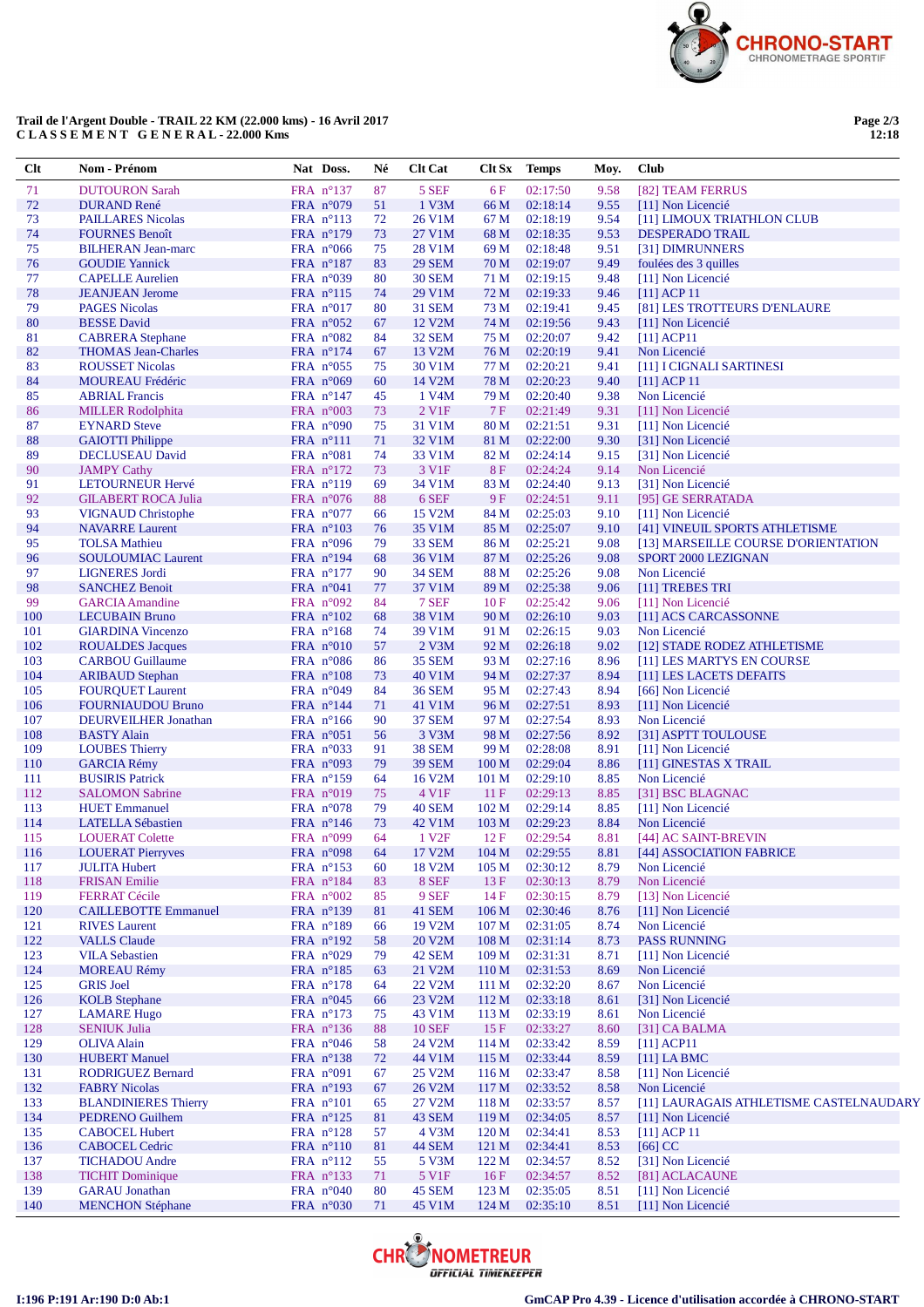

## **Trail de l'Argent Double - TRAIL 22 KM (22.000 kms) - 16 Avril 2017 C L A S S E M E N T G E N E R A L - 22.000 Kms**

**Page 2/3 12:18**

| Clt | Nom - Prénom                | Nat Doss.            | Né | <b>Clt Cat</b>      | Clt Sx           | <b>Temps</b> | Moy. | Club                                    |
|-----|-----------------------------|----------------------|----|---------------------|------------------|--------------|------|-----------------------------------------|
| 71  | <b>DUTOURON Sarah</b>       | FRA nº137            | 87 | 5 SEF               | 6 F              | 02:17:50     | 9.58 | [82] TEAM FERRUS                        |
| 72  | <b>DURAND René</b>          | FRA $n^{\circ}079$   | 51 | 1 V3M               | 66 M             | 02:18:14     | 9.55 | [11] Non Licencié                       |
| 73  | <b>PAILLARES Nicolas</b>    | FRA $n^{\circ}113$   | 72 | 26 V1M              | 67 M             | 02:18:19     | 9.54 | [11] LIMOUX TRIATHLON CLUB              |
| 74  | <b>FOURNES Benoît</b>       | FRA $n^{\circ}179$   | 73 | 27 V1M              | 68 M             | 02:18:35     | 9.53 | <b>DESPERADO TRAIL</b>                  |
| 75  | <b>BILHERAN Jean-marc</b>   | FRA $n^{\circ}066$   | 75 | 28 V1M              | 69 M             | 02:18:48     | 9.51 | [31] DIMRUNNERS                         |
| 76  | <b>GOUDIE Yannick</b>       | $FRA$ n°187          | 83 | <b>29 SEM</b>       | 70 M             | 02:19:07     | 9.49 | foulées des 3 quilles                   |
| 77  | <b>CAPELLE Aurelien</b>     | FRA $n^{\circ}039$   | 80 | <b>30 SEM</b>       | 71 M             | 02:19:15     | 9.48 | [11] Non Licencié                       |
| 78  | <b>JEANJEAN</b> Jerome      | FRA $n^{\circ}115$   | 74 | 29 V1M              | 72 M             | 02:19:33     | 9.46 | $[11]$ ACP 11                           |
| 79  | <b>PAGES Nicolas</b>        | FRA $n^{\circ}017$   | 80 | 31 SEM              | 73 M             | 02:19:41     | 9.45 | [81] LES TROTTEURS D'ENLAURE            |
| 80  | <b>BESSE David</b>          | FRA $n^{\circ}052$   | 67 | 12 V <sub>2</sub> M | 74 M             | 02:19:56     | 9.43 | [11] Non Licencié                       |
| 81  | <b>CABRERA</b> Stephane     | FRA n°082            | 84 | 32 SEM              | 75 M             | 02:20:07     | 9.42 | $[11]$ ACP11                            |
| 82  | <b>THOMAS Jean-Charles</b>  | FRA $n^{\circ}174$   | 67 | 13 V <sub>2</sub> M | 76 M             | 02:20:19     | 9.41 | Non Licencié                            |
| 83  | <b>ROUSSET Nicolas</b>      | FRA $n^{\circ}055$   | 75 | 30 V1M              | 77 M             | 02:20:21     | 9.41 | [11] I CIGNALI SARTINESI                |
| 84  | <b>MOUREAU Frédéric</b>     | FRA $n^{\circ}069$   | 60 | 14 V2M              | 78 M             | 02:20:23     | 9.40 | $[11]$ ACP 11                           |
| 85  | <b>ABRIAL Francis</b>       | FRA $n^{\circ}147$   | 45 | 1 V <sub>4</sub> M  | 79 M             | 02:20:40     | 9.38 | Non Licencié                            |
| 86  | <b>MILLER Rodolphita</b>    | FRA n°003            | 73 | 2 V1F               | 7F               | 02:21:49     | 9.31 | [11] Non Licencié                       |
| 87  | <b>EYNARD</b> Steve         | FRA $n^{\circ}090$   | 75 | 31 V1M              | 80 M             | 02:21:51     | 9.31 | [11] Non Licencié                       |
| 88  | <b>GAIOTTI Philippe</b>     | $FRA$ $n^{\circ}111$ | 71 | 32 V1M              | 81 M             | 02:22:00     | 9.30 | [31] Non Licencié                       |
| 89  | <b>DECLUSEAU David</b>      | FRA $n^{\circ}081$   | 74 | 33 V1M              | 82 M             | 02:24:14     | 9.15 | [31] Non Licencié                       |
| 90  | <b>JAMPY Cathy</b>          | FRA $n^{\circ}172$   | 73 | 3 V1F               | <b>8F</b>        | 02:24:24     | 9.14 | Non Licencié                            |
| 91  | LETOURNEUR Hervé            | FRA $n^{\circ}119$   | 69 | 34 V1M              | 83 M             | 02:24:40     | 9.13 | [31] Non Licencié                       |
| 92  | <b>GILABERT ROCA Julia</b>  | FRA $n^{\circ}076$   | 88 | 6 SEF               | 9 F              | 02:24:51     | 9.11 | [95] GE SERRATADA                       |
| 93  | <b>VIGNAUD Christophe</b>   | FRA $n^{\circ}077$   | 66 | 15 V2M              | 84 M             | 02:25:03     | 9.10 | [11] Non Licencié                       |
| 94  | <b>NAVARRE Laurent</b>      | FRA $n^{\circ}103$   | 76 | 35 V1M              | 85 M             | 02:25:07     | 9.10 | [41] VINEUIL SPORTS ATHLETISME          |
| 95  | <b>TOLSA</b> Mathieu        | FRA $n^{\circ}096$   | 79 | 33 SEM              | 86 M             | 02:25:21     | 9.08 | [13] MARSEILLE COURSE D'ORIENTATION     |
| 96  | <b>SOULOUMIAC Laurent</b>   | FRA n°194            | 68 | 36 V1M              | 87 M             | 02:25:26     | 9.08 | SPORT 2000 LEZIGNAN                     |
| 97  |                             |                      |    |                     |                  | 02:25:26     | 9.08 | Non Licencié                            |
|     | <b>LIGNERES</b> Jordi       | FRA $n^{\circ}177$   | 90 | <b>34 SEM</b>       | 88 M             |              |      |                                         |
| 98  | <b>SANCHEZ Benoit</b>       | FRA $n^{\circ}041$   | 77 | 37 V1M              | 89 M             | 02:25:38     | 9.06 | [11] TREBES TRI                         |
| 99  | <b>GARCIA</b> Amandine      | FRA $n^{\circ}092$   | 84 | 7 SEF               | 10F              | 02:25:42     | 9.06 | [11] Non Licencié                       |
| 100 | <b>LECUBAIN Bruno</b>       | FRA $n^{\circ}102$   | 68 | 38 V1M              | 90 M             | 02:26:10     | 9.03 | [11] ACS CARCASSONNE                    |
| 101 | <b>GIARDINA Vincenzo</b>    | FRA $n^{\circ}168$   | 74 | 39 V1M              | 91 M             | 02:26:15     | 9.03 | Non Licencié                            |
| 102 | <b>ROUALDES Jacques</b>     | FRA $n^{\circ}010$   | 57 | $2$ V $3M$          | 92 M             | 02:26:18     | 9.02 | [12] STADE RODEZ ATHLETISME             |
| 103 | <b>CARBOU Guillaume</b>     | FRA $n^{\circ}086$   | 86 | <b>35 SEM</b>       | 93 M             | 02:27:16     | 8.96 | [11] LES MARTYS EN COURSE               |
| 104 | <b>ARIBAUD Stephan</b>      | FRA $n^{\circ}108$   | 73 | 40 V1M              | 94 M             | 02:27:37     | 8.94 | [11] LES LACETS DEFAITS                 |
| 105 | <b>FOURQUET Laurent</b>     | FRA $n^{\circ}049$   | 84 | <b>36 SEM</b>       | 95 M             | 02:27:43     | 8.94 | [66] Non Licencié                       |
| 106 | <b>FOURNIAUDOU Bruno</b>    | FRA $n^{\circ}144$   | 71 | 41 V1M              | 96 M             | 02:27:51     | 8.93 | [11] Non Licencié                       |
| 107 | <b>DEURVEILHER Jonathan</b> | FRA $n^{\circ}166$   | 90 | <b>37 SEM</b>       | 97 M             | 02:27:54     | 8.93 | Non Licencié                            |
| 108 | <b>BASTY Alain</b>          | FRA $n^{\circ}051$   | 56 | 3 V3M               | 98 M             | 02:27:56     | 8.92 | [31] ASPTT TOULOUSE                     |
| 109 | <b>LOUBES Thierry</b>       | FRA $n^{\circ}033$   | 91 | <b>38 SEM</b>       | 99 M             | 02:28:08     | 8.91 | [11] Non Licencié                       |
| 110 | <b>GARCIA Rémy</b>          | FRA $n^{\circ}093$   | 79 | <b>39 SEM</b>       | 100 <sub>M</sub> | 02:29:04     | 8.86 | [11] GINESTAS X TRAIL                   |
| 111 | <b>BUSIRIS Patrick</b>      | $FRA$ n°159          | 64 | 16 V2M              | 101 <sub>M</sub> | 02:29:10     | 8.85 | Non Licencié                            |
| 112 | <b>SALOMON Sabrine</b>      | FRA $n^{\circ}019$   | 75 | 4 V <sub>1</sub> F  | 11F              | 02:29:13     | 8.85 | [31] BSC BLAGNAC                        |
| 113 | <b>HUET</b> Emmanuel        | FRA $n^{\circ}078$   | 79 | <b>40 SEM</b>       | 102 M            | 02:29:14     | 8.85 | [11] Non Licencié                       |
| 114 | <b>LATELLA Sébastien</b>    | FRA $n^{\circ}146$   | 73 | 42 V1M              | 103 M            | 02:29:23     | 8.84 | Non Licencié                            |
| 115 | <b>LOUERAT Colette</b>      | FRA $n^{\circ}099$   | 64 | 1 V <sub>2F</sub>   | 12F              | 02:29:54     | 8.81 | [44] AC SAINT-BREVIN                    |
| 116 | <b>LOUERAT Pierryves</b>    | FRA $n^{\circ}098$   | 64 | 17 V2M              | 104 M            | 02:29:55     | 8.81 | [44] ASSOCIATION FABRICE                |
| 117 | <b>JULITA Hubert</b>        | FRA n°153            | 60 | 18 V2M              | 105 <sub>M</sub> | 02:30:12     | 8.79 | Non Licencié                            |
| 118 | <b>FRISAN Emilie</b>        | FRA $n^{\circ}184$   | 83 | 8 SEF               | 13F              | 02:30:13     | 8.79 | Non Licencié                            |
| 119 | <b>FERRAT Cécile</b>        | FRA n°002            | 85 | 9 SEF               | 14F              | 02:30:15     | 8.79 | [13] Non Licencié                       |
| 120 | <b>CAILLEBOTTE Emmanuel</b> | FRA $n^{\circ}139$   | 81 | 41 SEM              | 106 <sub>M</sub> | 02:30:46     | 8.76 | [11] Non Licencié                       |
| 121 | <b>RIVES</b> Laurent        | FRA n°189            | 66 | 19 V2M              | 107 <sub>M</sub> | 02:31:05     | 8.74 | Non Licencié                            |
| 122 | <b>VALLS Claude</b>         | FRA $n^{\circ}192$   | 58 | 20 V2M              | 108 <sub>M</sub> | 02:31:14     | 8.73 | <b>PASS RUNNING</b>                     |
| 123 | <b>VILA Sebastien</b>       | FRA $n^{\circ}029$   | 79 | 42 SEM              | 109 <sub>M</sub> | 02:31:31     | 8.71 | [11] Non Licencié                       |
| 124 | <b>MOREAU Rémy</b>          | FRA n°185            | 63 | 21 V2M              | 110 M            | 02:31:53     | 8.69 | Non Licencié                            |
| 125 | <b>GRIS</b> Joel            | FRA $n^{\circ}178$   | 64 | 22 V2M              | 111 M            | 02:32:20     | 8.67 | Non Licencié                            |
| 126 | <b>KOLB</b> Stephane        | FRA $n^{\circ}045$   | 66 | 23 V2M              | 112M             | 02:33:18     | 8.61 | [31] Non Licencié                       |
| 127 | <b>LAMARE Hugo</b>          | FRA $n^{\circ}173$   | 75 | 43 V1M              | 113 M            | 02:33:19     | 8.61 | Non Licencié                            |
| 128 | <b>SENIUK Julia</b>         | FRA $n^{\circ}136$   | 88 | <b>10 SEF</b>       | 15F              | 02:33:27     | 8.60 | [31] CA BALMA                           |
| 129 | <b>OLIVA Alain</b>          | FRA $n^{\circ}046$   | 58 | 24 V2M              | 114M             | 02:33:42     | 8.59 | $[11]$ ACP11                            |
| 130 | <b>HUBERT Manuel</b>        | FRA n°138            | 72 | 44 V1M              | 115 M            | 02:33:44     | 8.59 | [11] LA BMC                             |
| 131 | <b>RODRIGUEZ Bernard</b>    | FRA n°091            | 67 | 25 V2M              | 116M             | 02:33:47     | 8.58 | [11] Non Licencié                       |
| 132 | <b>FABRY Nicolas</b>        | FRA $n^{\circ}193$   | 67 | 26 V2M              | 117 M            | 02:33:52     | 8.58 | Non Licencié                            |
| 133 | <b>BLANDINIERES Thierry</b> | $FRA$ n°101          | 65 | 27 V2M              | 118 M            | 02:33:57     | 8.57 | [11] LAURAGAIS ATHLETISME CASTELNAUDARY |
| 134 | PEDRENO Guilhem             | FRA $n^{\circ}125$   | 81 | 43 SEM              | 119 <sub>M</sub> | 02:34:05     | 8.57 | [11] Non Licencié                       |
| 135 | <b>CABOCEL Hubert</b>       | FRA $n^{\circ}128$   | 57 | 4 V3M               | 120 <sub>M</sub> | 02:34:41     | 8.53 | $[11]$ ACP 11                           |
| 136 | <b>CABOCEL Cedric</b>       | FRA $n^{\circ}110$   | 81 | 44 SEM              | 121 M            | 02:34:41     | 8.53 | $[66]$ CC                               |
| 137 | <b>TICHADOU</b> Andre       | $FRA$ $n^{\circ}112$ | 55 | 5 V3M               | 122 M            | 02:34:57     | 8.52 | [31] Non Licencié                       |
| 138 | <b>TICHIT Dominique</b>     | FRA $n^{\circ}133$   | 71 | 5 V1F               | 16F              | 02:34:57     | 8.52 | [81] ACLACAUNE                          |
| 139 | <b>GARAU</b> Jonathan       | FRA $n^{\circ}040$   | 80 | 45 SEM              | 123 M            | 02:35:05     | 8.51 | [11] Non Licencié                       |
| 140 | <b>MENCHON Stéphane</b>     | FRA n°030            | 71 | 45 V1M              | 124 M            | 02:35:10     | 8.51 | [11] Non Licencié                       |
|     |                             |                      |    |                     |                  |              |      |                                         |